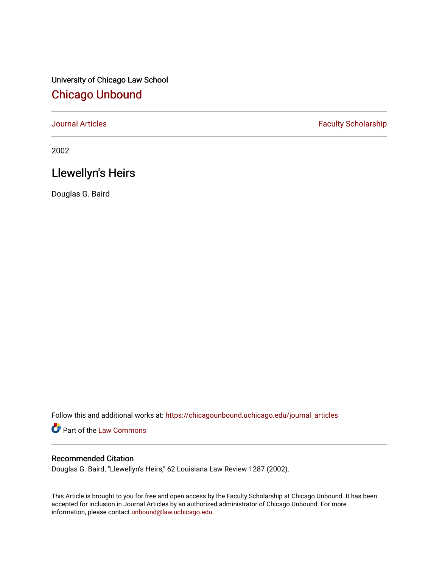University of Chicago Law School [Chicago Unbound](https://chicagounbound.uchicago.edu/)

[Journal Articles](https://chicagounbound.uchicago.edu/journal_articles) **Faculty Scholarship Faculty Scholarship** 

2002

# Llewellyn's Heirs

Douglas G. Baird

Follow this and additional works at: [https://chicagounbound.uchicago.edu/journal\\_articles](https://chicagounbound.uchicago.edu/journal_articles?utm_source=chicagounbound.uchicago.edu%2Fjournal_articles%2F1019&utm_medium=PDF&utm_campaign=PDFCoverPages) 

Part of the [Law Commons](http://network.bepress.com/hgg/discipline/578?utm_source=chicagounbound.uchicago.edu%2Fjournal_articles%2F1019&utm_medium=PDF&utm_campaign=PDFCoverPages)

# Recommended Citation

Douglas G. Baird, "Llewellyn's Heirs," 62 Louisiana Law Review 1287 (2002).

This Article is brought to you for free and open access by the Faculty Scholarship at Chicago Unbound. It has been accepted for inclusion in Journal Articles by an authorized administrator of Chicago Unbound. For more information, please contact [unbound@law.uchicago.edu](mailto:unbound@law.uchicago.edu).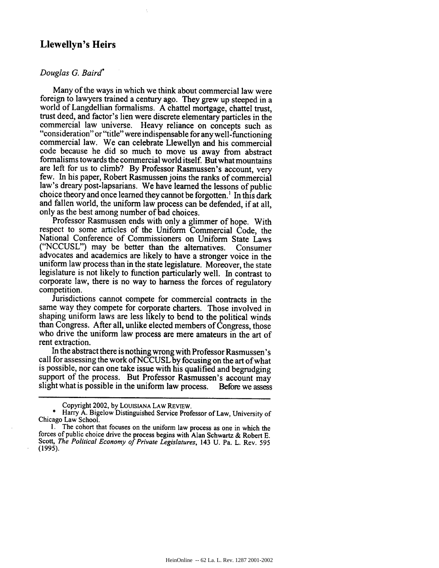# **Llewellyn's Heirs**

## *Douglas G. Baird*

Many of the ways in which we think about commercial law were foreign to lawyers trained a century ago. They grew up steeped in a world of Langdellian formalisms. A chattel mortgage, chattel trust, trust deed, and factor's lien were discrete elementary particles in the "consideration" or "title" were indispensable for any well-functioning commercial law. We can celebrate Llewellyn and his commercial code because he did so much to move us away from abstract formalisms towards the commercial world itself. But what mountains are left for us to climb? By Professor Rasmussen's account, very few. In his paper, Robert Rasmussen joins the ranks of commercial law's dreary post-lapsarians. We have learned the lessons of public choice theory and once learned they cannot be forgotten.<sup>1</sup> In this dark and fallen world, the uniform law process can be defended, if at all, only as the best among number of bad choices.

Professor Rasmussen ends with only a glimmer of hope. With respect to some articles of the Uniform Commercial Code, the National Conference of Commissioners on Uniform State Laws ("NCCUSL") may be better than the alternatives. Consumer advocates and academics are likely to have a stronger voice in the uniform law process than in the state legislature. Moreover, the state legislature is not likely to function particularly well. In contrast to corporate law, there is no way to harness the forces of regulatory

Jurisdictions cannot compete for commercial contracts in the same way they compete for corporate charters. Those involved in shaping uniform laws are less likely to bend to the political winds than Congress. After all, unlike elected members of Congress, those who drive the uniform law process are mere amateurs in the art of rent extraction.

In the abstract there is nothing wrong with Professor Rasmussen's call for assessing the work of NCCUSL by focusing on the art of what is possible, nor can one take issue with his qualified and begrudging support of the process. But Professor Rasmussen's account may slight what is possible in the uniform law process. Before we assess

Copyright 2002, by LOUISIANA LAW REVIEW.

<sup>\*</sup> Harry A. Bigelow Distinguished Service Professor of Law, University of Chicago Law School.

<sup>1.</sup> The cohort that focuses on the uniform law process as one in which the forces of public choice drive the process begins with Alan Schwartz & Robert E. Scott, *The Political Economy of Private Legislatures,* 143 U. Pa. L. Rev. 595 (1995).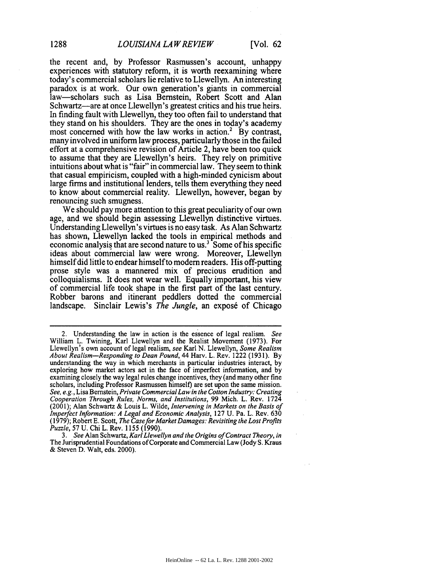the recent and, by Professor Rasmussen's account, unhappy experiences with statutory reform, it is worth reexamining where today's commercial scholars lie relative to Llewellyn. An interesting paradox is at work. Our own generation's giants in commercial law-scholars such as Lisa Bernstein, Robert Scott and Alan Schwartz—are at once Llewellyn's greatest critics and his true heirs. In finding fault with Llewellyn, they too often fail to understand that they stand on his shoulders. They are the ones in today's academy most concerned with how the law works in action.<sup>2</sup> By contrast, many involved in uniform law process, particularly those in the failed effort at a comprehensive revision of Article 2, have been too quick to assume that they are Llewellyn's heirs. They rely on primitive intuitions about what is "fair" in commercial law. They seem to think that casual empiricism, coupled with a high-minded cynicism about large firms and institutional lenders, tells them everything they need to know about commercial reality. Llewellyn, however, began by renouncing such smugness.

We should pay more attention to this great peculiarity of our own age, and we should begin assessing Llewellyn distinctive virtues. Understanding Llewellyn's virtues is no easy task. As Alan Schwartz has shown, Llewellyn lacked the tools in empirical methods and economic analysis that are second nature to us.<sup>3</sup> Some of his specific ideas about commercial law were wrong. Moreover, Llewellyn himself did little to endear himself to modem readers. His off-putting prose style was a mannered mix of precious erudition and colloquialisms. It does not wear well. Equally important, his view of commercial life took shape in the first part of the last century. Robber barons and itinerant peddlers dotted the commercial landscape. Sinclair Lewis's *The Jungle*, an exposé of Chicago

*3. See* Alan Schwartz, *Karl Llewellyn and the Origins of Contract Theory, in* The Jurisprudential Foundations of Corporate and Commercial Law (Jody S. Kraus & Steven D. Walt, eds. 2000).

<sup>2.</sup> Understanding the law in action is the essence of legal realism. See William L. Twining, Karl Llewellyn and the Realist Movement (1973). For Llewellyn's own account of legal realism, see Karl N. Llewellyn, Some *Realism About Realism-Responding to Dean Pound,* 44 Harv. L. Rev. 1222 (1931). By understanding the way in which merchants in particular industries interact, by exploring how market actors act in the face of imperfect information, and by examining closely the way legal rules change incentives, they (and many other fine scholars, including Professor Rasmussen himself) are set upon the same mission. *See, e.g.,* Lisa Bernstein, *Private Commercial Law in the Cotton Industry: Creating Cooperation Through Rules, Norms, and Institutions,* 99 Mich. L. Rev. 1724 (2001); Alan Schwartz & Louis L. Wilde, *Intervening in Markets on the Basis of Imperfect Information: A Legal and Economic Analysis,* 127 U. Pa. L. Rev. 630 (1979); Robert E. Scott, *The Case for Market Damages: Revisiting the Lost Profits Puzzle,* 57 U. Chi L. Rev. 1155 (1990).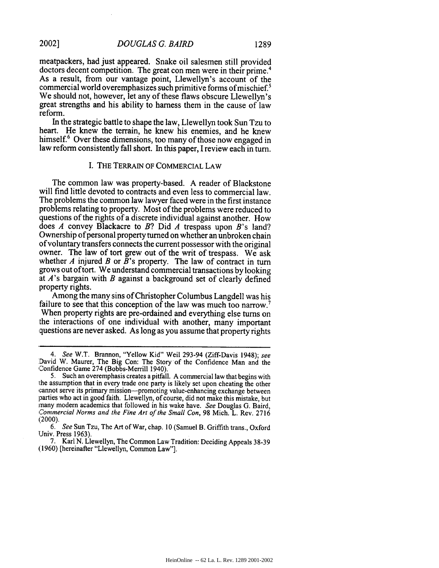meatpackers, had just appeared. Snake oil salesmen still provided doctors decent competition. The great con men were in their prime.<sup>4</sup> As a result, from our vantage point, Llewellyn's account of the commercial world overemphasizes such primitive forms of mischief.<sup>5</sup> We should not, however, let any of these flaws obscure Llewellyn's great strengths and his ability to harness them in the cause of law reform.

In the strategic battle to shape the law, Llewellyn took Sun Tzu to heart. He knew the terrain, he knew his enemies, and he knew himself.<sup>6</sup> Over these dimensions, too many of those now engaged in law reform consistently fall short. In this paper, I review each in turn.

#### I. THE TERRAIN OF COMMERCIAL LAW

The common law was property-based. A reader of Blackstone will find little devoted to contracts and even less to commercial law. The problems the common law lawyer faced were in the first instance problems relating to property. Most of the problems were reduced to questions of the rights of a discrete individual against another. How does *A* convey Blackacre to *B?* Did *A* trespass upon B's land? Ownership of personal property turned on whether an unbroken chain of voluntary transfers connects the current possessor with the original owner. The law of tort grew out of the writ of trespass. We ask whether *A* injured *B* or B's property. The law of contract in turn grows out of tort. We understand commercial transactions by looking at A's bargain with *B* against a background set of clearly defined property rights.

Among the many sins of Christopher Columbus Langdell was his failure to see that this conception of the law was much too narrow.<sup>7</sup> When property rights are pre-ordained and everything else turns on the interactions of one individual with another, many important questions are never asked. As long as you assume that property rights

*<sup>4.</sup> See* W.T. Brannon, "Yellow Kid" Weil 293-94 (Ziff-Davis 1948); *see* David W. Maurer, The Big Con: The Story of the Confidence Man and the Confidence Game 274 (Bobbs-Merrill 1940).

<sup>5.</sup> Such an overemphasis creates a pitfall. A commercial law that begins with :he assumption that in every trade one party is likely set upon cheating the other cannot serve its primary mission-promoting value-enhancing exchange between parties who act in good faith. Llewellyn, of course, did not make this mistake, but many modern academics that followed in his wake have. *See* Douglas G. Baird, *commercial Norms and the Fine Art of the Small Con,* 98 Mich. L. Rev. 2716 (2000).

*<sup>6.</sup> See* Sun Tzu, The Art of War, chap. 10 (Samuel B. Griffith trans., Oxford Univ. Press 1963).

<sup>7.</sup> Karl N. Llewellyn, The Common Law Tradition: Deciding Appeals 38-39 (1960) [hereinafter "Llewellyn, Common Law"].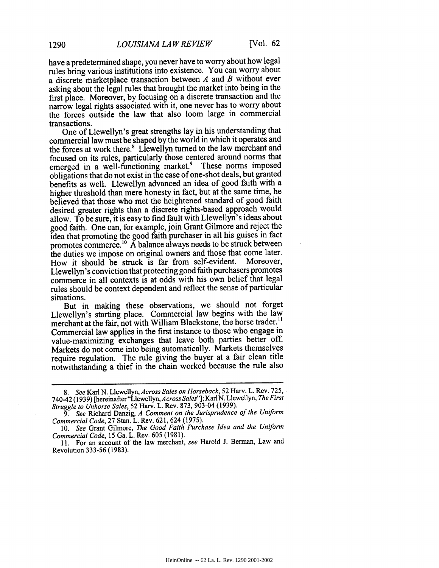have a predetermined shape, you never have to worry about how legal rules bring various institutions into existence. You can worry about a discrete marketplace transaction between *A* and *B* without ever asking about the legal rules that brought the market into being in the first place. Moreover, by focusing on a discrete transaction and the narrow legal rights associated with it, one never has to worry about the forces outside the law that also loom large in commercial transactions.

One of Llewellyn's great strengths lay in his understanding that commercial law must be shaped by the world in which it operates and the forces at work there.<sup>8</sup> Llewellyn turned to the law merchant and focused on its rules, particularly those centered around norms that emerged in a well-functioning market.<sup>9</sup> These norms imposed obligations that do not exist in the case of one-shot deals, but granted benefits as well. Llewellyn advanced an idea of good faith with a higher threshold than mere honesty in fact, but at the same time, he believed that those who met the heightened standard of good faith desired greater rights than a discrete rights-based approach would allow. To be sure, it is easy to find fault with Llewellyn's ideas about good faith. One can, for example, join Grant Gilmore and reject the idea that promoting the good faith purchaser in all his guises in fact promotes commerce.'" A balance always needs to be struck between the duties we impose on original owners and those that come later.<br>How it should be struck is far from self-evident. Moreover, How it should be struck is far from self-evident. Llewellyn's conviction that protecting good faith purchasers promotes commerce in all contexts is at odds with his own belief that legal rules should be context dependent and reflect the sense of particular situations.

But in making these observations, we should not forget Llewellyn's starting place. Commercial law begins with the law merchant at the fair, not with William Blackstone, the horse trader." Commercial law applies in the first instance to those who engage in value-maximizing exchanges that leave both parties better off. Markets do not come into being automatically. Markets themselves require regulation. The rule giving the buyer at a fair clean title notwithstanding a thief in the chain worked because the rule also

10. *See* Grant Gilmore, *The Good Faith Purchase Idea and the Uniform Commercial Code,* 15 Ga. L. Rev. 605 (1981).

11. For an account of the law merchant, *see* Harold J. Berman, Law and Revolution 333-56 (1983).

*<sup>8.</sup> See* Karl N. Llewellyn, *Across Sales on Horseback,* 52 Harv. L. Rev. 725, 740-42 (1939) [hereinafter "Llewellyn, *Across Sales"];* Karl N. Llewellyn, *The First Struggle to Unhorse Sales,* 52 Harv. L. Rev. 873, 903-04 (1939).

*<sup>9.</sup> See* Richard Danzig, *A Comment on the Jurisprudence of the Uniform Commercial Code,* 27 Stan. L. Rev. 621, 624 (1975).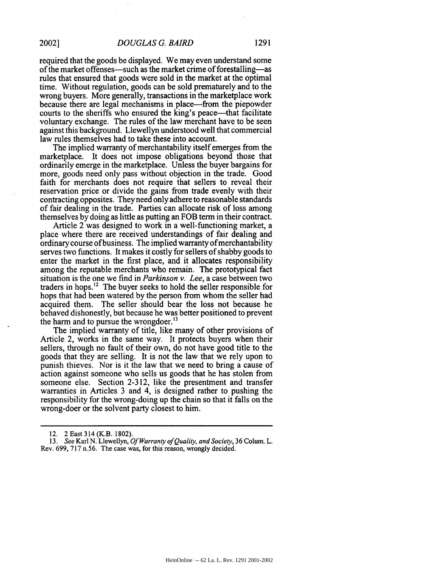required that the goods be displayed. We may even understand some of the market offenses—such as the market crime of forestalling—as rules that ensured that goods were sold in the market at the optimal time. Without regulation, goods can be sold prematurely and to the wrong buyers. More generally, transactions in the marketplace work because there are legal mechanisms in place—from the piepowder courts to the sheriffs who ensured the king's peace—that facilitate voluntary exchange. The rules of the law merchant have to be seen against this background. Llewellyn understood well that commercial law rules themselves had to take these into account.

The implied warranty of merchantability itself emerges from the marketplace. It does not impose obligations beyond those that ordinarily emerge in the marketplace. Unless the buyer bargains for more, goods need only pass without objection in the trade. Good faith for merchants does not require that sellers to reveal their reservation price or divide the gains from trade evenly with their contracting opposites. They need only adhere to reasonable standards of fair dealing in the trade. Parties can allocate risk of loss among themselves by doing as little as putting an FOB term in their contract.

Article 2 was designed to work in a well-functioning market, a place where there are received understandings of fair dealing and ordinary course of business. The implied warranty of merchantability serves two functions. It makes it costly for sellers of shabby goods to enter the market in the first place, and it allocates responsibility among the reputable merchants who remain. The prototypical fact situation is the one we find in *Parkinson v. Lee,* a case between two traders in hops.<sup>12</sup> The buyer seeks to hold the seller responsible for hops that had been watered by the person from whom the seller had acquired them. The seller should bear the loss not because he behaved dishonestly, but because he was better positioned to prevent the harm and to pursue the wrongdoer.<sup>13</sup>

The implied warranty of title, like many of other provisions of Article 2, works in the same way. It protects buyers when their sellers, through no fault of their own, do not have good title to the goods that they are selling. It is not the law that we rely upon to punish thieves. Nor is it the law that we need to bring a cause of action against someone who sells us goods that he has stolen from someone else. Section 2-312, like the presentment and transfer warranties in Articles 3 and 4, is designed rather to pushing the responsibility for the wrong-doing up the chain so that it falls on the wrong-doer or the solvent party closest to him.

<sup>12. 2</sup> East 314 (K.B. 1802).

<sup>13.</sup> *See* Karl N. Llewellyn, *Of Warranty of Quality, and Society,* 36 Colum. L. Rev. 699, 717 n.56. The case was, for this reason, wrongly decided.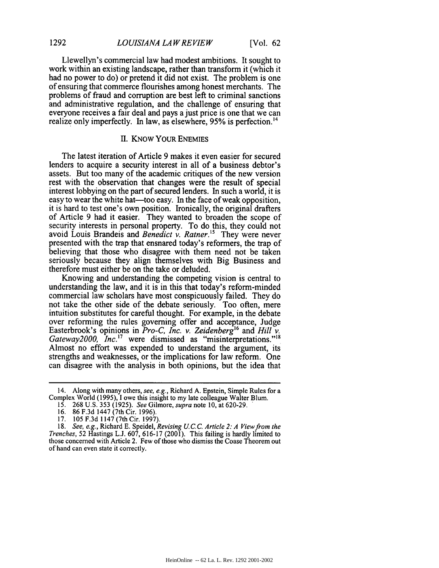Llewellyn's commercial law had modest ambitions. It sought to work within an existing landscape, rather than transform it (which it had no power to do) or pretend it did not exist. The problem is one of ensuring that commerce flourishes among honest merchants. The problems of fraud and corruption are best left to criminal sanctions and administrative regulation, and the challenge of ensuring that everyone receives a fair deal and pays a just price is one that we can realize only imperfectly. In law, as elsewhere, 95% is perfection.<sup>14</sup>

## II. KNOW YOUR ENEMIES

The latest iteration of Article 9 makes it even easier for secured lenders to acquire a security interest in all of a business debtor's assets. But too many of the academic critiques of the new version rest with the observation that changes were the result of special interest lobbying on the part of secured lenders. In such a world, it is easy to wear the white hat—too easy. In the face of weak opposition, it is hard to test one's own position. Ironically, the original drafters of Article 9 had it easier. They wanted to broaden the scope of security interests in personal property. To do this, they could not avoid Louis Brandeis and *Benedict v. Ratner.*<sup>15</sup> They were never presented with the trap that ensnared today's reformers, the trap of believing that those who disagree with them need not be taken seriously because they align themselves with Big Business and therefore must either be on the take or deluded.

Knowing and understanding the competing vision is central to understanding the law, and it is in this that today's reform-minded commercial law scholars have most conspicuously failed. They do not take the other side of the debate seriously. Too often, mere intuition substitutes for careful thought. For example, in the debate over reforming the rules governing offer and acceptance, Judge Easterbrook's opinions in *Pro-C, Inc. v. Zeidenberg<sup>16</sup>* and *Hill v. Gateway2000, Inc.'7* were dismissed as "misinterpretations."" Almost no effort was expended to understand the argument, its strengths and weaknesses, or the implications for law reform. One can disagree with the analysis in both opinions, but the idea that

<sup>14.</sup> Along with many others, *see, e.g.,* Richard A. Epstein, Simple Rules for a Complex World (1995), **1** owe this insight to my late colleague Walter Blum.

<sup>15. 268</sup> U.S. 353 (1925). *See* Gilmore, *supra* note 10, at 620-29.

<sup>16. 86</sup> F.3d 1447 (7th Cir. 1996).

<sup>17. 105</sup> F.3d 1147 (7th Cir. 1997).

<sup>18.</sup> *See, e.g.,* Richard E. Speidel, *Revising U. C.C. Article 2: A View from the Trenches,* 52 Hastings L.J. 607, 616-17 (2001). This failing is hardly limited to those concerned with Article 2. Few of those who dismiss the Coase Theorem out of hand can even state it correctly.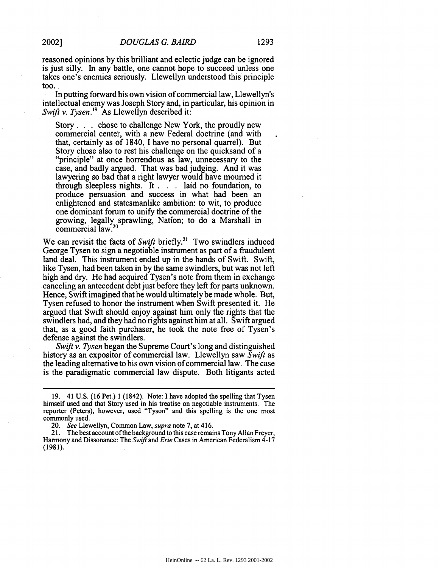reasoned opinions by this brilliant and eclectic judge can be ignored is just silly. In any battle, one cannot hope to succeed unless one takes one's enemies seriously. Llewellyn understood this principle too.

In putting forward his own vision of commercial law, Llewellyn's intellectual enemy was Joseph Story and, in particular, his opinion in *Swift v. Tysen.*<sup>19</sup> As Llewellyn described it:

Story. **.** . chose to challenge New York, the proudly new commercial center, with a new Federal doctrine (and with that, certainly as of 1840, I have no personal quarrel). But Story chose also to rest his challenge on the quicksand of a "principle" at once horrendous as law, unnecessary to the case, and badly argued. That was bad judging. And it was lawyering so bad that a right lawyer would have mourned it through sleepless nights. It. . laid no foundation, to produce persuasion and success in what had been an enlightened and statesmanlike ambition: to wit, to produce one dominant forum to unify the commercial doctrine of the growing, legally sprawling, Nation; to do a Marshall in commercial law.<sup>20</sup>

We can revisit the facts of *Swift* briefly.<sup>21</sup> Two swindlers induced George Tysen to sign a negotiable instrument as part of a fraudulent land deal. This instrument ended up in the hands of Swift. Swift, like Tysen, had been taken in by the same swindlers, but was not left high and dry. He had acquired Tysen's note from them in exchange canceling an antecedent debt just before they left for parts unknown. Hence, Swift imagined that he would ultimately be made whole. But, Tysen refused to honor the instrument When Swift presented it. He argued that Swift should enjoy against him only the rights that the swindlers had, and they had no rights against him at all. Swift argued that, as a good faith purchaser, he took the note free of Tysen's defense against the swindlers.

*Swift v. Tysen* began the Supreme Court's long and distinguished history as an expositor of commercial law. Llewellyn saw *Swift* as the leading alternative to his own vision of commercial law. The case is the paradigmatic commercial law dispute. Both litigants acted

21. The best account of the background to this case remains Tony Allan Freyer, Harmony and Dissonance: The *Swift* and *Erie* Cases in American Federalism 4-17 (1981).

<sup>19. 41</sup> U.S. (16 Pet.) 1 (1842). Note: I have adopted the spelling that Tysen himself used and that Story used in his treatise on negotiable instruments. The reporter (Peters), however, used "Tyson" and this spelling is the one most commonly used.

<sup>20.</sup> *See* Llewellyn, Common Law, *supra* note 7, at 416.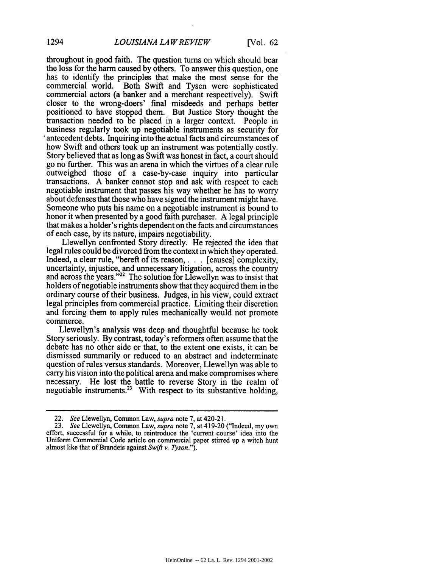throughout in good faith. The question turns on which should bear the loss for the harm caused by others. To answer this question, one has to identify the principles that make the most sense for the commercial world. Both Swift and Tysen were sophisticated commercial actors (a banker and a merchant respectively). Swift closer to the wrong-doers' final misdeeds and perhaps better positioned to have stopped them. But Justice Story thought the transaction needed to be placed in a larger context. People in business regularly took up negotiable instruments as security for antecedent debts. Inquiring into the actual facts and circumstances of how Swift and others took up an instrument was potentially costly. Story believed that as long as Swift was honest in fact, a court should go no further. This was an arena in which the virtues of a clear rule outweighed those of a case-by-case inquiry into particular transactions. A banker cannot stop and ask with respect to each negotiable instrument that passes his way whether he has to worry about defenses that those who have signed the instrument might have. Someone who puts his name on a negotiable instrument is bound to honor it when presented by a good faith purchaser. A legal principle that makes a holder's rights dependent on the facts and circumstances of each case, by its nature, impairs negotiability.

Llewellyn confronted Story directly. He rejected the idea that legal rules could be divorced from the context in which they operated. Indeed, a clear rule, "bereft of its reason,. **.** . [causes] complexity, uncertainty, injustice, and unnecessary litigation, across the country and across the years."<sup>22</sup> The solution for Llewellyn was to insist that holders of negotiable instruments show that they acquired them in the ordinary course of their business. Judges, in his view, could extract legal principles from commercial practice. Limiting their discretion and forcing them to apply rules mechanically would not promote commerce.

Llewellyn's analysis was deep and thoughtful because he took Story seriously. By contrast, today's reformers often assume that the debate has no other side or that, to the extent one exists, it can be dismissed summarily or reduced to an abstract and indeterminate question of rules versus standards. Moreover, Llewellyn was able to carry his vision into the political arena and make compromises where necessary. He lost the battle to reverse Story in the realm of negotiable instruments.<sup>23</sup> With respect to its substantive holding,

<sup>22.</sup> *See* Llewellyn, Common Law, *supra* note 7, at 420-21.

<sup>23.</sup> *See* Llewellyn, Common Law, *supra* note 7, at 419-20 ("Indeed, my own effort, successful for a while, to reintroduce the 'current course' idea into the Uniform Commercial Code article on commercial paper stirred up a witch hunt almost like that of Brandeis against Swift *v. Tyson.").*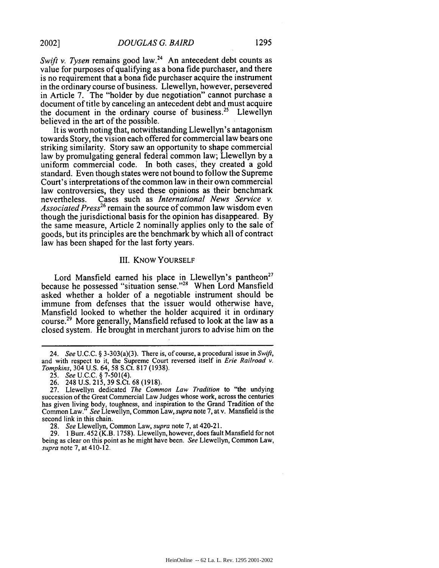*Swift v. Tysen* remains good law.<sup>24</sup> An antecedent debt counts as value for purposes of qualifying as a bona fide purchaser, and there is no requirement that a bona fide purchaser acquire the instrument in the ordinary course of business. Llewellyn, however, persevered in Article 7. The "holder by due negotiation" cannot purchase a document of title by canceling an antecedent debt and must acquire the document in the ordinary course of business.<sup>25</sup> Llewellyn believed in the art of the possible.

It is worth noting that, notwithstanding Llewellyn's antagonism towards Story, the vision each offered for commercial law bears one striking similarity. Story saw an opportunity to shape commercial law by promulgating general federal common law; Llewellyn by a uniform commercial code. In both cases. they created a gold standard. Even though states were not bound to follow the Supreme Court's interpretations of the common law in their own commercial law controversies, they used these opinions as their benchmark nevertheless. Cases such as *International News Service v. Associated Press26* remain the source of common law wisdom even though the jurisdictional basis for the opinion has disappeared. By the same measure, Article 2 nominally applies only to the sale of goods, but its principles are the benchmark by which all of contract law has been shaped for the last forty years.

#### III. KNOW YOURSELF

Lord Mansfield earned his place in Llewellyn's pantheon<sup>27</sup> because he possessed "situation sense."28 When Lord Mansfield asked whether a holder of a negotiable instrument should be immune from defenses that the issuer would otherwise have, Mansfield looked to whether the holder acquired it in ordinary course.<sup>29</sup> More generally, Mansfield refused to look at the law as a closed system. He brought in merchant jurors to advise him on the

<sup>24.</sup> *See* U.C.C. § 3-303(a)(3). There is, of course, a procedural issue in Swift, and with respect to it, the Supreme Court reversed itself in *Erie Railroad v. Tompkins,* 304 U.S. 64, 58 S.Ct. 817 (1938).

<sup>25.</sup> *See* U.C.C. § 7-501(4).

<sup>26. 248</sup> U.S. 215, 39 S.Ct. 68 (1918).

<sup>27.</sup> Llewellyn dedicated *The Common Law Tradition* to "the undying succession of the Great Commercial Law Judges whose work, across the centuries has given living body, toughness, and inspiration to the Grand Tradition of the Common Law." *See* Llewellyn, Common Law, *supra* note 7, at v. Mansfield is the second link in this chain.

<sup>28.</sup> *See* Llewellyn, Common Law, *supra* note 7, at 420-21.

<sup>29. 1</sup> Burr. 452 (K.B. 1758). Llewellyn, however, does fault Mansfield for not being as clear on this point as he might have been. *See* Llewellyn, Common Law, *supra* note 7, at 410-12.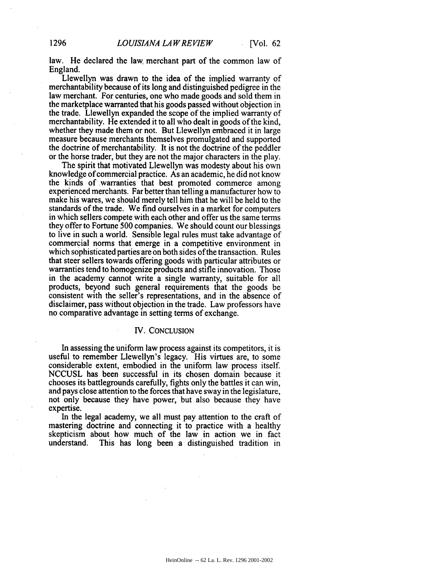law. He declared the law merchant part of the common law of England.

Llewellyn was drawn to the idea of the implied warranty of merchantability because of its long and distinguished pedigree in the law merchant. For centuries, one who made goods and sold them in the marketplace warranted that his goods passed without objection in the trade. Llewellyn expanded the scope of the implied warranty of merchantability. He extended it to all who dealt in goods of the kind, whether they made them or not. But Llewellyn embraced it in large measure because merchants themselves promulgated and supported the doctrine of merchantability. It is not the doctrine of the peddler or the horse trader, but they are not the major characters in the play.

The spirit that motivated Llewellyn was modesty about his own knowledge of commercial practice. As an academic, he did not know the kinds of warranties that best promoted commerce among experienced merchants. Far better than telling a manufacturer how to make his wares, we should merely tell him that he will be held to the standards of the trade. We find ourselves in a market for computers in which sellers compete with each other and offer us the same terms they offer to Fortune 500 companies. We should count our blessings to live in such a world. Sensible legal rules must take advantage of commercial norms that emerge in a competitive environment in which sophisticated parties are on both sides of the transaction. Rules that steer sellers towards offering goods with particular attributes or warranties tend to homogenize products and stifle innovation. Those in the academy cannot write a single warranty, suitable for all products, beyond such general requirements that the goods be consistent with the seller's representations, and in the absence of disclaimer, pass without objection in the trade. Law professors have no comparative advantage in setting terms of exchange.

## IV. CONCLUSION

In assessing the uniform law process against its competitors, it is useful to remember Llewellyn's legacy. His virtues are, to some considerable extent, embodied in the uniform law process itself. NCCUSL has been successful in its chosen domain because it chooses its battlegrounds carefully, fights only the battles it can win, and pays close attention to the forces that have sway in the legislature, not only because they have power, but also because they have expertise.

In the legal academy, we all must pay attention to the craft of mastering doctrine and connecting it to practice with a healthy skepticism about how much of the law in action we in fact understand. This has long been a distinguished tradition in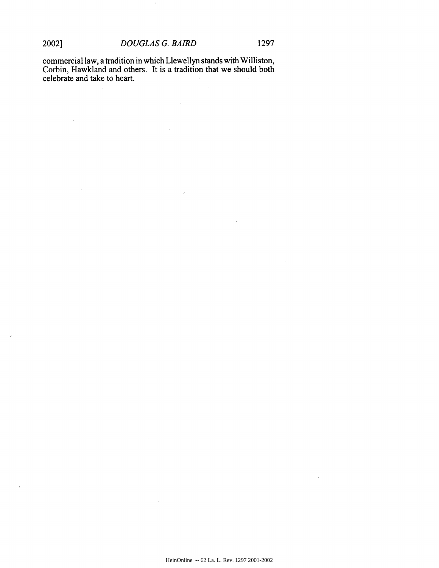$\sim$ 

 $\mathcal{L}^{\mathcal{L}}$ 

commercial law, a tradition in which Llewellyn stands with Williston, Corbin, Hawkland and others. It is a tradition that we should both celebrate and take to heart.